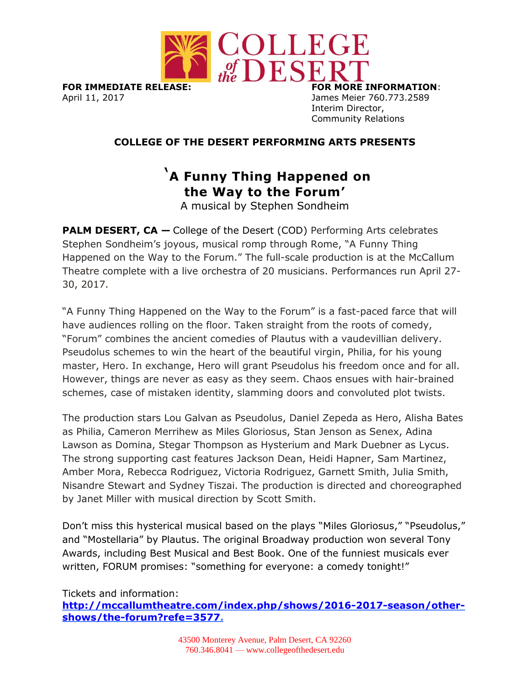

**FOR IMMEDIATE RELEASE: FOR MORE INFORMATION**: April 11, 2017 James Meier 760.773.2589

Interim Director, Community Relations

## **COLLEGE OF THE DESERT PERFORMING ARTS PRESENTS**

# '**A Funny Thing Happened on the Way to the Forum'**

A musical by Stephen Sondheim

**PALM DESERT, CA – College of the Desert (COD) Performing Arts celebrates** Stephen Sondheim's joyous, musical romp through Rome, "A Funny Thing Happened on the Way to the Forum." The full-scale production is at the McCallum Theatre complete with a live orchestra of 20 musicians. Performances run April 27- 30, 2017.

"A Funny Thing Happened on the Way to the Forum" is a fast-paced farce that will have audiences rolling on the floor. Taken straight from the roots of comedy, "Forum" combines the ancient comedies of Plautus with a vaudevillian delivery. Pseudolus schemes to win the heart of the beautiful virgin, Philia, for his young master, Hero. In exchange, Hero will grant Pseudolus his freedom once and for all. However, things are never as easy as they seem. Chaos ensues with hair-brained schemes, case of mistaken identity, slamming doors and convoluted plot twists.

The production stars Lou Galvan as Pseudolus, Daniel Zepeda as Hero, Alisha Bates as Philia, Cameron Merrihew as Miles Gloriosus, Stan Jenson as Senex, Adina Lawson as Domina, Stegar Thompson as Hysterium and Mark Duebner as Lycus. The strong supporting cast features Jackson Dean, Heidi Hapner, Sam Martinez, Amber Mora, Rebecca Rodriguez, Victoria Rodriguez, Garnett Smith, Julia Smith, Nisandre Stewart and Sydney Tiszai. The production is directed and choreographed by Janet Miller with musical direction by Scott Smith.

Don't miss this hysterical musical based on the plays "Miles Gloriosus," "Pseudolus," and "Mostellaria" by Plautus. The original Broadway production won several Tony Awards, including Best Musical and Best Book. One of the funniest musicals ever written, FORUM promises: "something for everyone: a comedy tonight!"

## Tickets and information: **[http://mccallumtheatre.com/index.php/shows/2016-2017-season/other](http://mccallumtheatre.com/index.php/shows/2016-2017-season/other-shows/the-forum?refe=3577)[shows/the-forum?refe=3577.](http://mccallumtheatre.com/index.php/shows/2016-2017-season/other-shows/the-forum?refe=3577)**